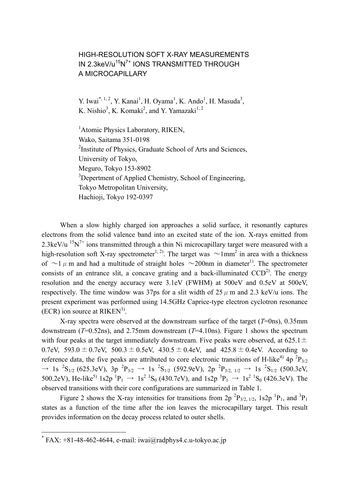## HIGH-RESOLUTION SOFT X-RAY MEASUREMENTS IN 2.3keV/u<sup>15</sup>N<sup>7+</sup> IONS TRANSMITTED THROUGH A MICROCAPILLARY

Y. Iwai<sup>[\\*,](#page-0-0) 1, 2</sup>, Y. Kanai<sup>1</sup>, H. Oyama<sup>1</sup>, K. Ando<sup>1</sup>, H. Masuda<sup>3</sup>, K. Nishio<sup>3</sup>, K. Komaki<sup>2</sup>, and Y. Yamazaki<sup>1, 2</sup>

<sup>1</sup> Atomic Physics Laboratory, RIKEN, Wako, Saitama 351-0198 <sup>2</sup>Institute of Physics, Graduate School of Arts and Sciences, University of Tokyo, Meguro, Tokyo 153-8902 <sup>3</sup>Depertment of Applied Chemistry, School of Engineering, Tokyo Metropolitan University, Hachioji, Tokyo 192-0397

When a slow highly charged ion approaches a solid surface, it resonantly captures electrons from the solid valence band into an excited state of the ion. X-rays emitted from 2.3keV/u  $15N^{7+}$  ions transmitted through a thin Ni microcapillary target were measured with a high-resolution soft X-ray spectrometer<sup>1, 2)</sup>. The target was  $\sim$ 1mm<sup>2</sup> in area with a thickness of  $\sim$ 1  $\mu$  m and had a multitude of straight holes  $\sim$ 200nm in diameter<sup>1)</sup>. The spectrometer consists of an entrance slit, a concave grating and a back-illuminated  $CCD<sup>2</sup>$ . The energy resolution and the energy accuracy were 3.1eV (FWHM) at 500eV and 0.5eV at 500eV, respectively. The time window was 37ps for a slit width of 25  $\mu$  m and 2.3 keV/u ions. The present experiment was performed using 14.5GHz Caprice-type electron cyclotron resonance  $(ECR)$  ion source at RIKEN<sup>3)</sup>.

X-ray spectra were observed at the downstream surface of the target (*T*=0ns), 0.35mm downstream (*T*=0.52ns), and 2.75mm downstream (*T*=4.10ns). Figure 1 shows the spectrum with four peaks at the target immediately downstream. Five peaks were observed, at 625.1 $\pm$ 0.7eV,  $593.0 \pm 0.7$ eV,  $500.3 \pm 0.5$ eV,  $430.5 \pm 0.4$ eV, and  $425.8 \pm 0.4$ eV. According to reference data, the five peaks are attributed to core electronic transitions of H-like<sup>4)</sup>  $4p^2P_{3/2}$  $\rightarrow$  1s <sup>2</sup>S<sub>1/2</sub> (625.3eV), 3p <sup>2</sup>P<sub>3/2</sub>  $\rightarrow$  1s <sup>2</sup>S<sub>1/2</sub> (592.9eV), 2p <sup>2</sup>P<sub>3/2, 1/2</sub>  $\rightarrow$  1s <sup>2</sup>S<sub>1/2</sub> (500.3eV, 500.2eV), He-like<sup>5)</sup> 1s2p  ${}^{1}P_1$   $\rightarrow$  1s<sup>2</sup>  ${}^{1}S_0$  (430.7eV), and 1s2p  ${}^{3}P_1$   $\rightarrow$  1s<sup>2</sup>  ${}^{1}S_0$  (426.3eV). The observed transitions with their core configurations are summarized in Table 1.

Figure 2 shows the X-ray intensities for transitions from  $2p^{2}P_{3/2, 1/2}$ , 1s2p  ${}^{1}P_{1}$ , and  ${}^{3}P_{1}$ states as a function of the time after the ion leaves the microcapillary target. This result provides information on the decay process related to outer shells.

 $\overline{a}$ 

<span id="page-0-0"></span> $*$  FAX: +81-48-462-4644, e-mail: iwai@radphys4.c.u-tokyo.ac.jp